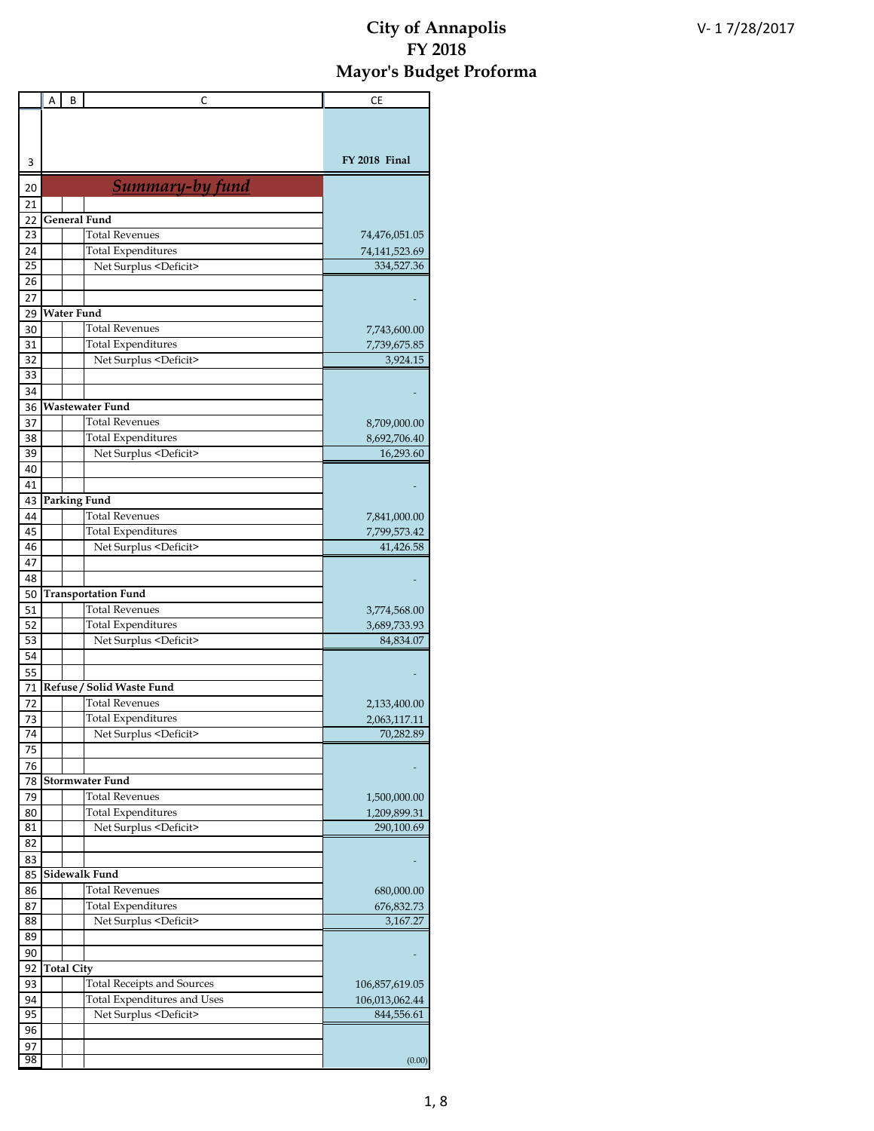|          | Α | В                 | C                                  | СE             |
|----------|---|-------------------|------------------------------------|----------------|
|          |   |                   |                                    |                |
|          |   |                   |                                    |                |
| 3        |   |                   |                                    | FY 2018 Final  |
| 20       |   |                   | <b>Summary-by fund</b>             |                |
| 21       |   |                   |                                    |                |
| 22       |   |                   | <b>General Fund</b>                |                |
| 23       |   |                   | <b>Total Revenues</b>              | 74,476,051.05  |
| 24       |   |                   | <b>Total Expenditures</b>          | 74,141,523.69  |
| 25       |   |                   | Net Surplus <deficit></deficit>    | 334,527.36     |
| 26       |   |                   |                                    |                |
| 27       |   |                   |                                    |                |
| 29       |   | <b>Water Fund</b> |                                    |                |
| 30       |   |                   | <b>Total Revenues</b>              | 7,743,600.00   |
| 31       |   |                   | <b>Total Expenditures</b>          | 7,739,675.85   |
| 32       |   |                   | Net Surplus <deficit></deficit>    | 3,924.15       |
| 33       |   |                   |                                    |                |
| 34       |   |                   | <b>Wastewater Fund</b>             |                |
| 36<br>37 |   |                   | <b>Total Revenues</b>              | 8,709,000.00   |
| 38       |   |                   | <b>Total Expenditures</b>          | 8,692,706.40   |
| 39       |   |                   | Net Surplus <deficit></deficit>    | 16,293.60      |
| 40       |   |                   |                                    |                |
| 41       |   |                   |                                    |                |
| 43       |   |                   | Parking Fund                       |                |
| 44       |   |                   | Total Revenues                     | 7,841,000.00   |
| 45       |   |                   | <b>Total Expenditures</b>          | 7,799,573.42   |
| 46       |   |                   | Net Surplus <deficit></deficit>    | 41,426.58      |
| 47       |   |                   |                                    |                |
| 48       |   |                   |                                    |                |
| 50       |   |                   | <b>Transportation Fund</b>         |                |
| 51       |   |                   | Total Revenues                     | 3,774,568.00   |
| 52       |   |                   | <b>Total Expenditures</b>          | 3,689,733.93   |
| 53       |   |                   | Net Surplus <deficit></deficit>    | 84,834.07      |
| 54       |   |                   |                                    |                |
| 55       |   |                   |                                    |                |
| 71       |   |                   | Refuse / Solid Waste Fund          |                |
| 72       |   |                   | Total Revenues                     | 2,133,400.00   |
| 73       |   |                   | <b>Total Expenditures</b>          | 2,063,117.11   |
| 74       |   |                   | Net Surplus <deficit></deficit>    | 70,282.89      |
| 75<br>76 |   |                   |                                    |                |
| 78       |   |                   | <b>Stormwater Fund</b>             |                |
| 79       |   |                   | <b>Total Revenues</b>              | 1,500,000.00   |
| 80       |   |                   | <b>Total Expenditures</b>          | 1,209,899.31   |
| 81       |   |                   | Net Surplus <deficit></deficit>    | 290,100.69     |
| 82       |   |                   |                                    |                |
| 83       |   |                   |                                    |                |
| 85       |   |                   | Sidewalk Fund                      |                |
| 86       |   |                   | Total Revenues                     | 680,000.00     |
| 87       |   |                   | Total Expenditures                 | 676,832.73     |
| 88       |   |                   | Net Surplus <deficit></deficit>    | 3,167.27       |
| 89       |   |                   |                                    |                |
| 90       |   |                   |                                    |                |
| 92       |   | <b>Total City</b> |                                    |                |
| 93       |   |                   | <b>Total Receipts and Sources</b>  | 106,857,619.05 |
| 94       |   |                   | <b>Total Expenditures and Uses</b> | 106,013,062.44 |
| 95       |   |                   | Net Surplus <deficit></deficit>    | 844,556.61     |
| 96       |   |                   |                                    |                |
| 97       |   |                   |                                    |                |
| 98       |   |                   |                                    | (0.00)         |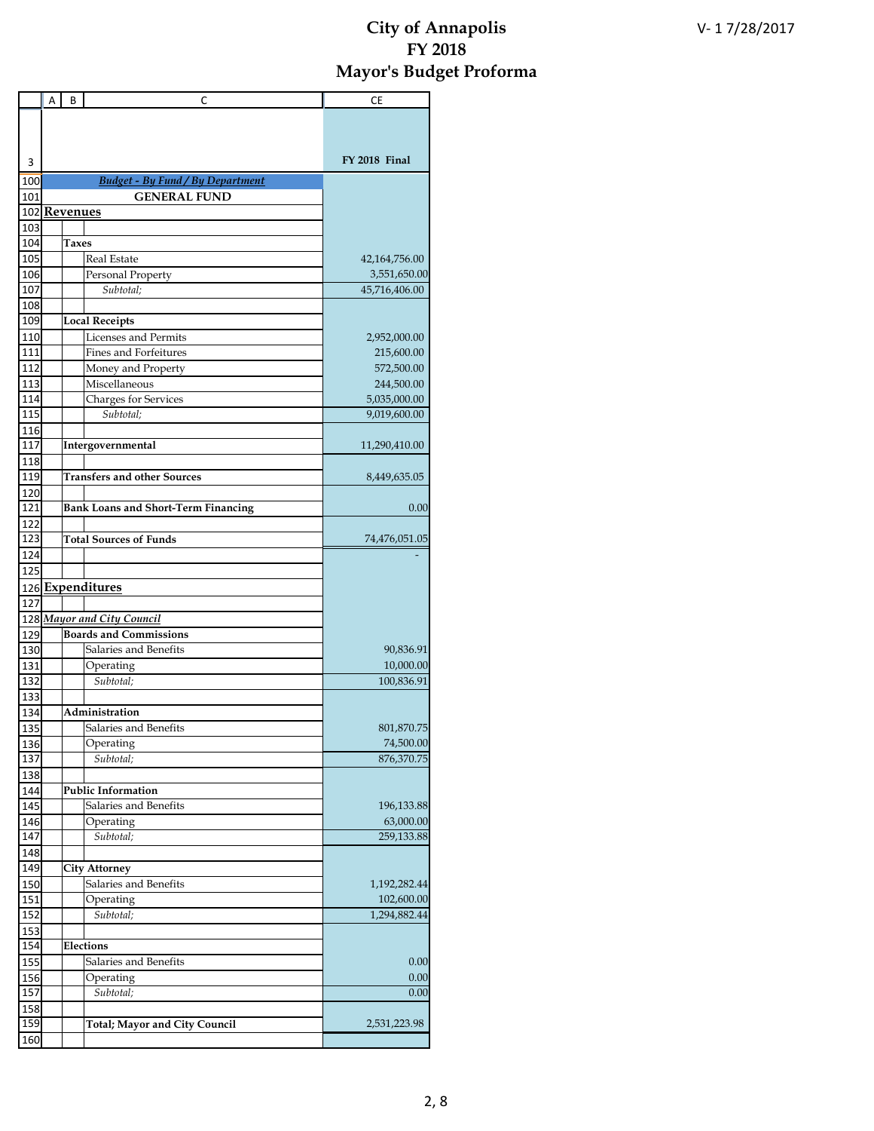|            | A | В            | C                                          | СE            |
|------------|---|--------------|--------------------------------------------|---------------|
|            |   |              |                                            |               |
|            |   |              |                                            |               |
|            |   |              |                                            | FY 2018 Final |
| 3          |   |              |                                            |               |
| 100        |   |              | <b>Budget - By Fund / By Department</b>    |               |
| 101        |   |              | <b>GENERAL FUND</b>                        |               |
| 103        |   | 102 Revenues |                                            |               |
| 104        |   | Taxes        |                                            |               |
| 105        |   |              | <b>Real Estate</b>                         | 42,164,756.00 |
| 106        |   |              | Personal Property                          | 3,551,650.00  |
| 107        |   |              | Subtotal;                                  | 45,716,406.00 |
| 108        |   |              |                                            |               |
| 109        |   |              | <b>Local Receipts</b>                      |               |
| 110        |   |              | Licenses and Permits                       | 2,952,000.00  |
| 111        |   |              | Fines and Forfeitures                      | 215,600.00    |
| 112        |   |              | Money and Property                         | 572,500.00    |
| 113        |   |              | Miscellaneous                              | 244,500.00    |
| 114        |   |              | <b>Charges for Services</b>                | 5,035,000.00  |
| 115        |   |              | Subtotal;                                  | 9,019,600.00  |
| 116        |   |              |                                            |               |
| 117        |   |              | Intergovernmental                          | 11,290,410.00 |
| 118        |   |              |                                            |               |
| 119        |   |              | <b>Transfers and other Sources</b>         | 8,449,635.05  |
| 120        |   |              |                                            |               |
| 121        |   |              | <b>Bank Loans and Short-Term Financing</b> | 0.00          |
| 122        |   |              |                                            |               |
| 123        |   |              | <b>Total Sources of Funds</b>              | 74,476,051.05 |
| 124        |   |              |                                            |               |
| 125        |   |              |                                            |               |
|            |   |              | 126 Expenditures                           |               |
| 127        |   |              |                                            |               |
| 128        |   |              | <b>Mayor and City Council</b>              |               |
| 129        |   |              | <b>Boards and Commissions</b>              |               |
| 130        |   |              | Salaries and Benefits                      | 90,836.91     |
| 131        |   |              | Operating                                  | 10,000.00     |
| 132        |   |              | Subtotal:                                  | 100,836.91    |
| 133        |   |              |                                            |               |
| 134        |   |              | Administration                             |               |
| 135        |   |              | Salaries and Benefits                      | 801,870.75    |
| 136        |   |              | Operating                                  | 74,500.00     |
| 137        |   |              | Subtotal;                                  | 876,370.75    |
| 138        |   |              |                                            |               |
| 144        |   |              | <b>Public Information</b>                  |               |
| 145        |   |              | Salaries and Benefits                      | 196,133.88    |
| 146        |   |              | Operating                                  | 63,000.00     |
| 147        |   |              | Subtotal;                                  | 259,133.88    |
| 148<br>149 |   |              | <b>City Attorney</b>                       |               |
|            |   |              | Salaries and Benefits                      | 1,192,282.44  |
| 150        |   |              | Operating                                  | 102,600.00    |
| 151<br>152 |   |              | Subtotal;                                  | 1,294,882.44  |
| 153        |   |              |                                            |               |
| 154        |   |              | Elections                                  |               |
| 155        |   |              | Salaries and Benefits                      | 0.00          |
| 156        |   |              | Operating                                  | 0.00          |
| 157        |   |              | Subtotal;                                  | 0.00          |
| 158        |   |              |                                            |               |
| 159        |   |              | <b>Total; Mayor and City Council</b>       | 2,531,223.98  |
| 160        |   |              |                                            |               |
|            |   |              |                                            |               |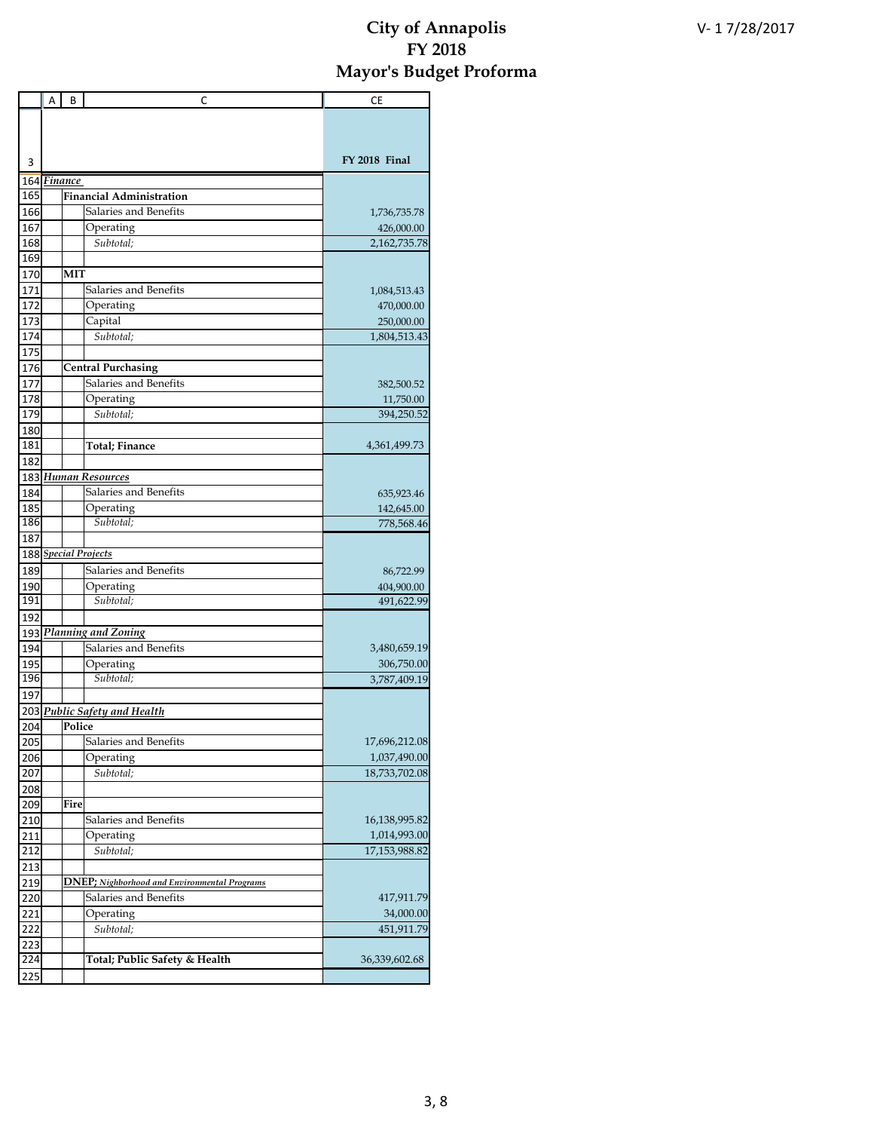|            | A | В       | C                                                    | <b>CE</b>                     |
|------------|---|---------|------------------------------------------------------|-------------------------------|
|            |   |         |                                                      |                               |
|            |   |         |                                                      |                               |
|            |   |         |                                                      |                               |
| 3          |   |         |                                                      | FY 2018 Final                 |
| 164        |   | Finance |                                                      |                               |
| 165        |   |         | <b>Financial Administration</b>                      |                               |
| 166        |   |         | Salaries and Benefits                                | 1,736,735.78                  |
| 167<br>168 |   |         | Operating                                            | 426,000.00                    |
| 169        |   |         | Subtotal;                                            | 2,162,735.78                  |
| 170        |   | MIT     |                                                      |                               |
| 171        |   |         | Salaries and Benefits                                | 1,084,513.43                  |
| 172        |   |         | Operating                                            | 470,000.00                    |
| 173        |   |         | Capital                                              | 250,000.00                    |
| 174        |   |         | Subtotal;                                            | 1,804,513.43                  |
| 175        |   |         |                                                      |                               |
| 176        |   |         | <b>Central Purchasing</b>                            |                               |
| 177        |   |         | Salaries and Benefits                                | 382,500.52                    |
| 178        |   |         | Operating                                            | 11,750.00                     |
| 179        |   |         | Subtotal:                                            | 394,250.52                    |
| 180        |   |         |                                                      |                               |
| 181        |   |         | <b>Total</b> ; Finance                               | 4,361,499.73                  |
| 182        |   |         |                                                      |                               |
| 183        |   |         | <b>Human Resources</b>                               |                               |
| 184        |   |         | Salaries and Benefits                                | 635,923.46                    |
| 185        |   |         | Operating                                            | 142,645.00                    |
| 186        |   |         | Subtotal;                                            | 778,568.46                    |
| 187        |   |         |                                                      |                               |
|            |   |         | 188 Special Projects<br>Salaries and Benefits        |                               |
| 189        |   |         |                                                      | 86,722.99                     |
| 190<br>191 |   |         | Operating<br>Subtotal:                               | 404,900.00<br>491,622.99      |
| 192        |   |         |                                                      |                               |
|            |   |         | 193 Planning and Zoning                              |                               |
| 194        |   |         | Salaries and Benefits                                | 3,480,659.19                  |
| 195        |   |         | Operating                                            | 306,750.00                    |
| 196        |   |         | Subtotal:                                            | 3,787,409.19                  |
| 197        |   |         |                                                      |                               |
|            |   |         | 203 Public Safety and Health                         |                               |
| 204        |   | Police  |                                                      |                               |
| 205        |   |         | Salaries and Benefits                                | 17,696,212.08                 |
| 206        |   |         | Operating                                            | 1,037,490.00                  |
| 207        |   |         | Subtotal;                                            | 18,733,702.08                 |
| 208        |   |         |                                                      |                               |
| 209        |   | Fire    |                                                      |                               |
| 210        |   |         | Salaries and Benefits                                | 16,138,995.82                 |
| 211<br>212 |   |         | Operating                                            | 1,014,993.00<br>17,153,988.82 |
| 213        |   |         | Subtotal;                                            |                               |
| 219        |   |         | <b>DNEP</b> ; Nighborhood and Environmental Programs |                               |
| 220        |   |         | Salaries and Benefits                                | 417,911.79                    |
| 221        |   |         | Operating                                            | 34,000.00                     |
| 222        |   |         | Subtotal;                                            | 451,911.79                    |
| 223        |   |         |                                                      |                               |
| 224        |   |         | Total; Public Safety & Health                        | 36,339,602.68                 |
| 225        |   |         |                                                      |                               |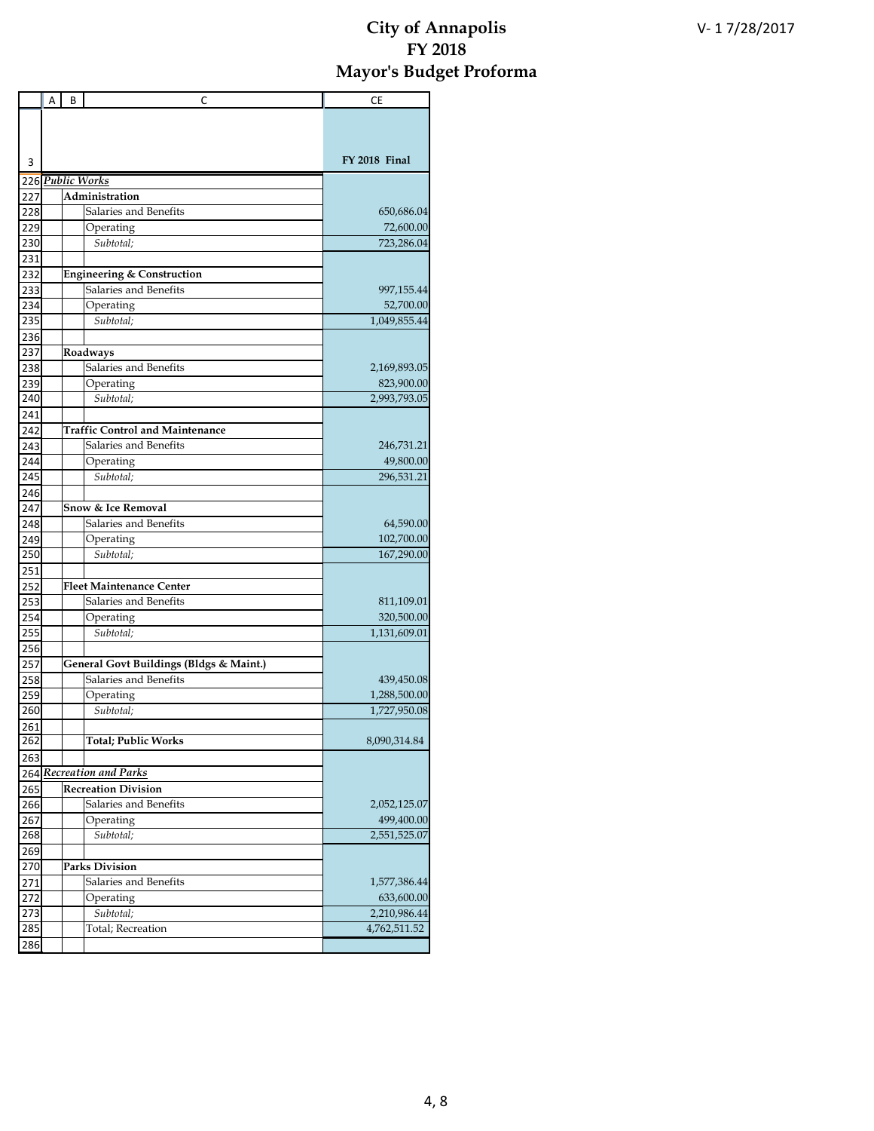|            | A | В | C                                       | СE            |
|------------|---|---|-----------------------------------------|---------------|
|            |   |   |                                         |               |
|            |   |   |                                         |               |
|            |   |   |                                         |               |
| 3          |   |   |                                         | FY 2018 Final |
|            |   |   | 226 Public Works                        |               |
| 227        |   |   | Administration                          |               |
| 228        |   |   | Salaries and Benefits                   | 650,686.04    |
| 229        |   |   | Operating                               | 72,600.00     |
| 230        |   |   | Subtotal;                               | 723,286.04    |
| 231        |   |   |                                         |               |
| 232        |   |   | <b>Engineering &amp; Construction</b>   |               |
| 233        |   |   | Salaries and Benefits                   | 997,155.44    |
| 234        |   |   | Operating                               | 52,700.00     |
| 235        |   |   | Subtotal;                               | 1,049,855.44  |
| 236        |   |   |                                         |               |
| 237        |   |   | Roadways                                |               |
| 238        |   |   | Salaries and Benefits                   | 2,169,893.05  |
| 239        |   |   | Operating                               | 823,900.00    |
| 240        |   |   | Subtotal:                               | 2,993,793.05  |
| 241        |   |   |                                         |               |
| 242        |   |   | <b>Traffic Control and Maintenance</b>  |               |
| 243        |   |   | Salaries and Benefits                   | 246,731.21    |
| 244        |   |   | Operating                               | 49,800.00     |
| 245        |   |   | Subtotal;                               | 296,531.21    |
| 246        |   |   |                                         |               |
| 247        |   |   | Snow & Ice Removal                      |               |
| 248        |   |   | Salaries and Benefits                   | 64,590.00     |
| 249        |   |   | Operating                               | 102,700.00    |
| 250        |   |   | Subtotal;                               | 167,290.00    |
| 251        |   |   | <b>Fleet Maintenance Center</b>         |               |
| 252<br>253 |   |   | Salaries and Benefits                   | 811,109.01    |
| 254        |   |   |                                         | 320,500.00    |
| 255        |   |   | Operating<br>Subtotal;                  | 1,131,609.01  |
| 256        |   |   |                                         |               |
| 257        |   |   | General Govt Buildings (Bldgs & Maint.) |               |
| 258        |   |   | Salaries and Benefits                   | 439,450.08    |
| 259        |   |   | Operating                               | 1,288,500.00  |
| 260        |   |   | Subtotal;                               | 1,727,950.08  |
| 261        |   |   |                                         |               |
| 262        |   |   | <b>Total; Public Works</b>              | 8,090,314.84  |
| 263        |   |   |                                         |               |
|            |   |   | 264 Recreation and Parks                |               |
| 265        |   |   | <b>Recreation Division</b>              |               |
| 266        |   |   | Salaries and Benefits                   | 2,052,125.07  |
| 267        |   |   | Operating                               | 499,400.00    |
| 268        |   |   | Subtotal;                               | 2,551,525.07  |
| 269        |   |   |                                         |               |
| 270        |   |   | <b>Parks Division</b>                   |               |
| 271        |   |   | Salaries and Benefits                   | 1,577,386.44  |
| 272        |   |   | Operating                               | 633,600.00    |
| 273        |   |   | Subtotal;                               | 2,210,986.44  |
| 285        |   |   | Total; Recreation                       | 4,762,511.52  |
| 286        |   |   |                                         |               |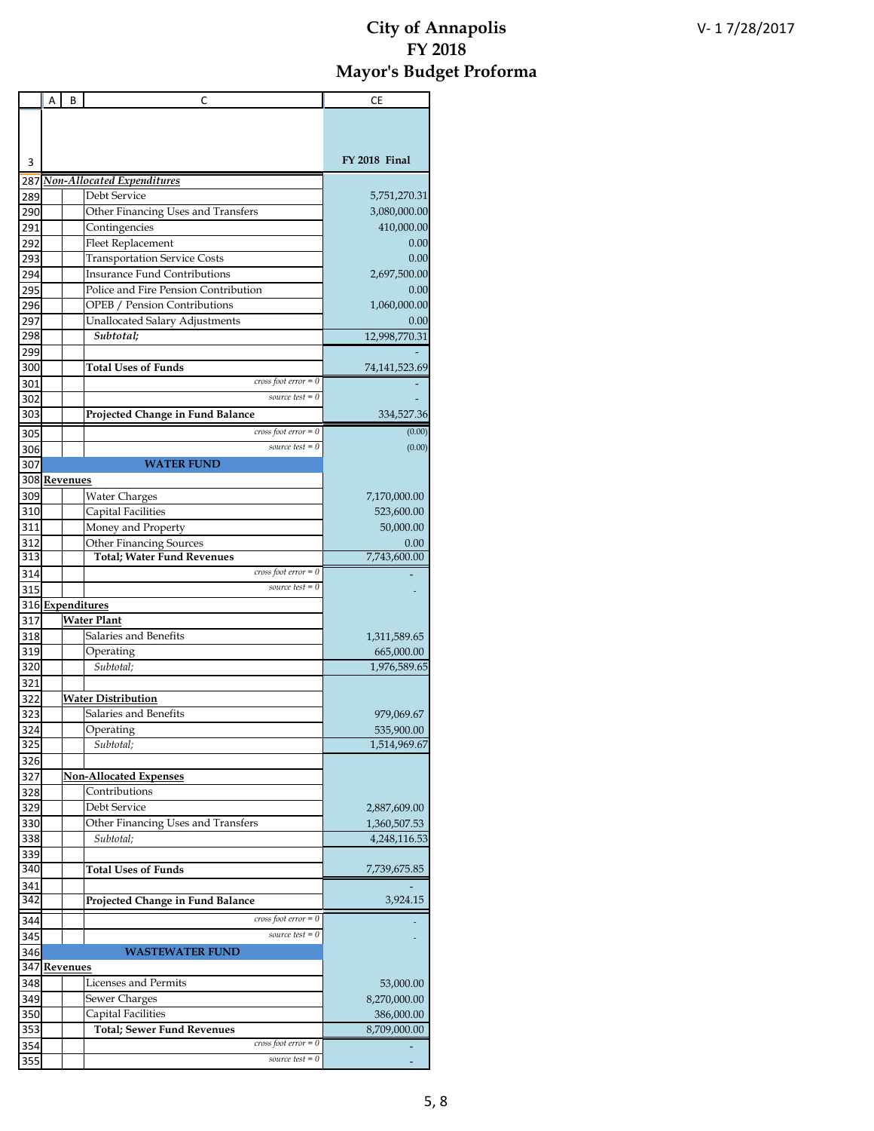|     | Α | В               | C                                    | СE            |
|-----|---|-----------------|--------------------------------------|---------------|
|     |   |                 |                                      |               |
|     |   |                 |                                      |               |
|     |   |                 |                                      |               |
| 3   |   |                 |                                      | FY 2018 Final |
| 287 |   |                 | <b>Non-Allocated Expenditures</b>    |               |
| 289 |   |                 | Debt Service                         | 5,751,270.31  |
| 290 |   |                 | Other Financing Uses and Transfers   | 3,080,000.00  |
| 291 |   |                 | Contingencies                        | 410,000.00    |
| 292 |   |                 | Fleet Replacement                    | 0.00          |
| 293 |   |                 | <b>Transportation Service Costs</b>  | 0.00          |
| 294 |   |                 | <b>Insurance Fund Contributions</b>  | 2,697,500.00  |
| 295 |   |                 | Police and Fire Pension Contribution | 0.00          |
| 296 |   |                 | OPEB / Pension Contributions         | 1,060,000.00  |
| 297 |   |                 | Unallocated Salary Adjustments       | 0.00          |
| 298 |   |                 | Subtotal;                            | 12,998,770.31 |
| 299 |   |                 |                                      |               |
| 300 |   |                 | <b>Total Uses of Funds</b>           | 74,141,523.69 |
| 301 |   |                 | cross foot $error = 0$               |               |
| 302 |   |                 | source test $= 0$                    |               |
| 303 |   |                 | Projected Change in Fund Balance     | 334,527.36    |
| 305 |   |                 | $cross foot error = 0$               | (0.00)        |
| 306 |   |                 | source test $= 0$                    | (0.00)        |
| 307 |   |                 | <b>WATER FUND</b>                    |               |
|     |   | 308 Revenues    |                                      |               |
| 309 |   |                 | <b>Water Charges</b>                 | 7,170,000.00  |
| 310 |   |                 | Capital Facilities                   | 523,600.00    |
| 311 |   |                 | Money and Property                   | 50,000.00     |
| 312 |   |                 | <b>Other Financing Sources</b>       | 0.00          |
| 313 |   |                 | <b>Total; Water Fund Revenues</b>    | 7,743,600.00  |
| 314 |   |                 | cross foot $error = 0$               |               |
| 315 |   |                 | source test $= 0$                    |               |
|     |   |                 | 316 Expenditures                     |               |
| 317 |   |                 | <b>Water Plant</b>                   |               |
| 318 |   |                 | Salaries and Benefits                | 1,311,589.65  |
| 319 |   |                 | Operating                            | 665,000.00    |
| 320 |   |                 | Subtotal;                            | 1,976,589.65  |
| 321 |   |                 |                                      |               |
| 322 |   |                 | <b>Water Distribution</b>            |               |
| 323 |   |                 | Salaries and Benefits                | 979,069.67    |
| 324 |   |                 | Operating                            | 535,900.00    |
| 325 |   |                 | Subtotal;                            | 1,514,969.67  |
| 326 |   |                 |                                      |               |
| 327 |   |                 | <b>Non-Allocated Expenses</b>        |               |
| 328 |   |                 | Contributions                        |               |
| 329 |   |                 | Debt Service                         | 2,887,609.00  |
| 330 |   |                 | Other Financing Uses and Transfers   | 1,360,507.53  |
| 338 |   |                 | Subtotal;                            | 4,248,116.53  |
| 339 |   |                 |                                      |               |
| 340 |   |                 | <b>Total Uses of Funds</b>           | 7,739,675.85  |
| 341 |   |                 |                                      |               |
| 342 |   |                 | Projected Change in Fund Balance     | 3,924.15      |
| 344 |   |                 | cross foot $error = 0$               |               |
| 345 |   |                 | source test $= 0$                    |               |
| 346 |   |                 | <b>WASTEWATER FUND</b>               |               |
| 347 |   | <b>Revenues</b> |                                      |               |
| 348 |   |                 | Licenses and Permits                 | 53,000.00     |
| 349 |   |                 | Sewer Charges                        | 8,270,000.00  |
| 350 |   |                 | Capital Facilities                   | 386,000.00    |
| 353 |   |                 | <b>Total; Sewer Fund Revenues</b>    | 8,709,000.00  |
| 354 |   |                 | cross foot $error = 0$               |               |
| 355 |   |                 | source test $= 0$                    |               |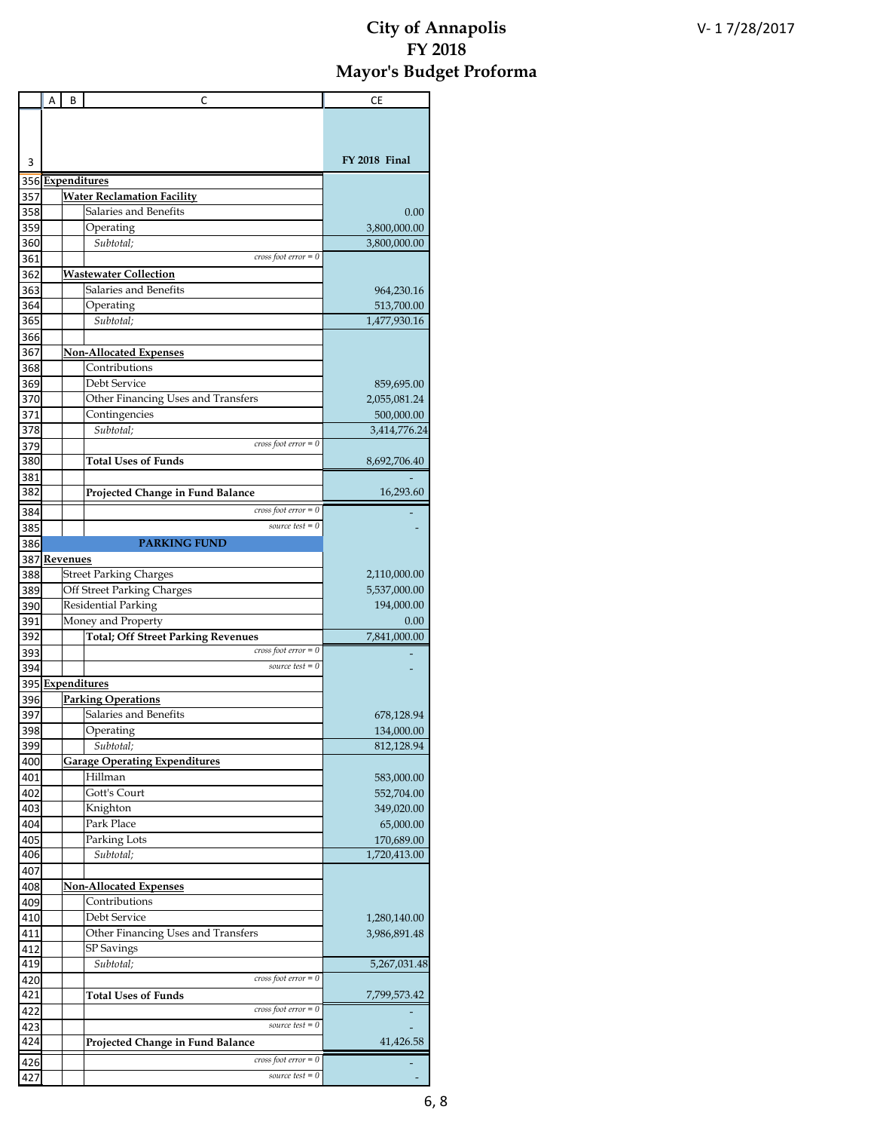|            | Α | B               | C                                                  | СE            |
|------------|---|-----------------|----------------------------------------------------|---------------|
|            |   |                 |                                                    |               |
|            |   |                 |                                                    |               |
|            |   |                 |                                                    |               |
| 3          |   |                 |                                                    | FY 2018 Final |
|            |   |                 | 356 Expenditures                                   |               |
| 357        |   |                 | <b>Water Reclamation Facility</b>                  |               |
| 358        |   |                 | Salaries and Benefits                              | 0.00          |
| 359        |   |                 | Operating                                          | 3,800,000.00  |
| 360        |   |                 | Subtotal;                                          | 3,800,000.00  |
| 361        |   |                 | $cross foot error = 0$                             |               |
| 362        |   |                 | <u> Wastewater Collection</u>                      |               |
| 363        |   |                 | Salaries and Benefits                              | 964,230.16    |
| 364        |   |                 | Operating                                          | 513,700.00    |
| 365        |   |                 | Subtotal;                                          | 1,477,930.16  |
| 366        |   |                 |                                                    |               |
| 367        |   |                 | <b>Non-Allocated Expenses</b>                      |               |
| 368        |   |                 | Contributions                                      |               |
| 369        |   |                 | Debt Service                                       | 859,695.00    |
| 370        |   |                 | Other Financing Uses and Transfers                 | 2,055,081.24  |
| 371        |   |                 | Contingencies                                      | 500,000.00    |
| 378        |   |                 | Subtotal;                                          | 3,414,776.24  |
| 379        |   |                 | cross foot $error = 0$                             |               |
| 380        |   |                 | <b>Total Uses of Funds</b>                         | 8,692,706.40  |
| 381        |   |                 |                                                    |               |
| 382        |   |                 | Projected Change in Fund Balance                   | 16,293.60     |
| 384        |   |                 | $cross foot error = 0$                             |               |
| 385        |   |                 | source test $= 0$                                  |               |
| 386        |   |                 | <b>PARKING FUND</b>                                |               |
| 387        |   | <b>Revenues</b> |                                                    |               |
| 388        |   |                 | <b>Street Parking Charges</b>                      | 2,110,000.00  |
| 389        |   |                 | Off Street Parking Charges                         | 5,537,000.00  |
| 390        |   |                 | Residential Parking                                | 194,000.00    |
| 391        |   |                 | Money and Property                                 | 0.00          |
| 392        |   |                 | <b>Total; Off Street Parking Revenues</b>          | 7,841,000.00  |
| 393        |   |                 | $cross foot error = 0$                             |               |
| 394        |   |                 | source test $= 0$                                  |               |
|            |   |                 | 395 Expenditures                                   |               |
| 396        |   |                 | <b>Parking Operations</b>                          |               |
| 397        |   |                 | Salaries and Benefits                              | 678,128.94    |
| 398        |   |                 | Operating                                          | 134,000.00    |
| 399        |   |                 | Subtotal:                                          | 812,128.94    |
| 400        |   |                 | <b>Garage Operating Expenditures</b>               |               |
| 401        |   |                 | Hillman                                            | 583,000.00    |
| 402        |   |                 | Gott's Court                                       | 552,704.00    |
| 403        |   |                 | Knighton                                           | 349,020.00    |
| 404        |   |                 | Park Place                                         | 65,000.00     |
| 405        |   |                 | Parking Lots                                       | 170,689.00    |
| 406        |   |                 | Subtotal;                                          | 1,720,413.00  |
| 407        |   |                 |                                                    |               |
| 408        |   |                 | <b>Non-Allocated Expenses</b>                      |               |
| 409        |   |                 | Contributions                                      |               |
| 410        |   |                 | Debt Service<br>Other Financing Uses and Transfers | 1,280,140.00  |
| 411        |   |                 |                                                    | 3,986,891.48  |
| 412<br>419 |   |                 | SP Savings<br>Subtotal;                            | 5,267,031.48  |
|            |   |                 | $cross foot error = 0$                             |               |
| 420<br>421 |   |                 | <b>Total Uses of Funds</b>                         | 7,799,573.42  |
| 422        |   |                 | $cross foot error = 0$                             |               |
| 423        |   |                 | source test $= 0$                                  |               |
| 424        |   |                 | Projected Change in Fund Balance                   | 41,426.58     |
|            |   |                 |                                                    |               |
| 426        |   |                 | $cross foot error = 0$                             |               |
| 427        |   |                 | source test $= 0$                                  |               |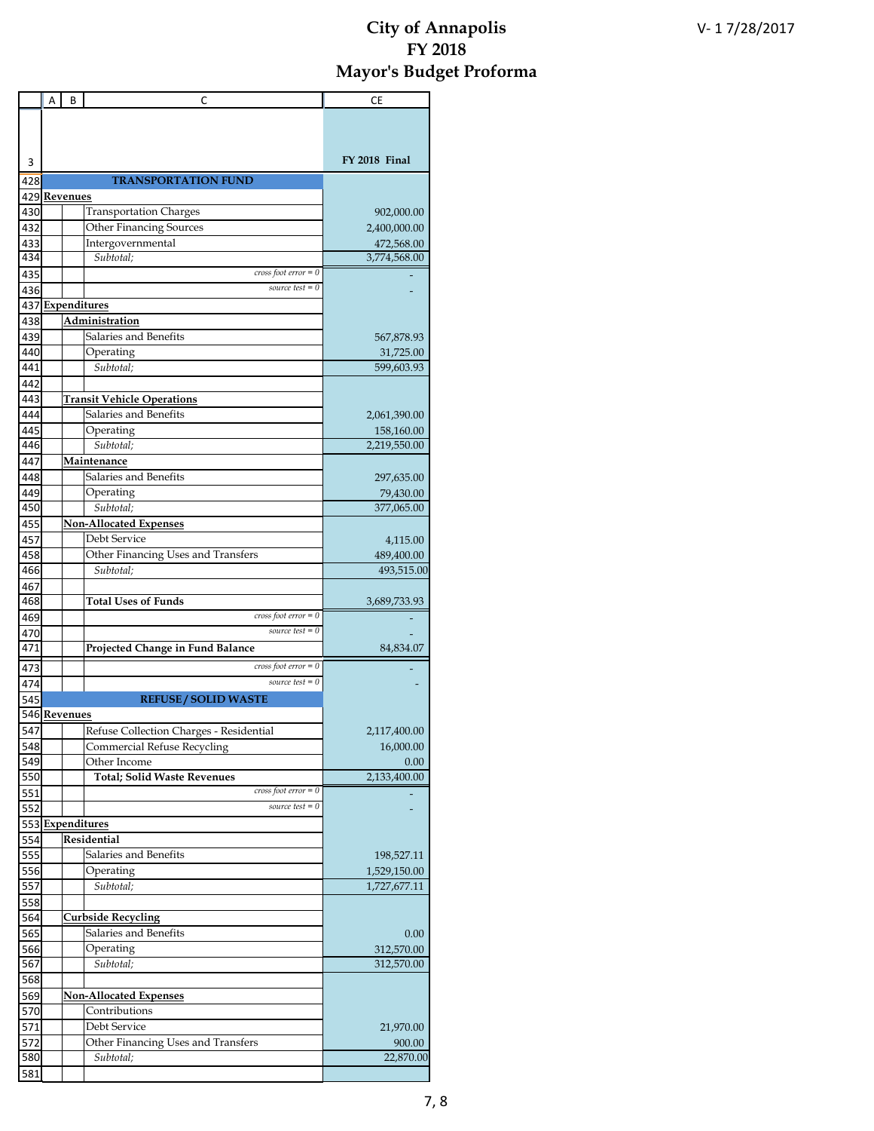|            | А | В            | C                                                            | СE                         |
|------------|---|--------------|--------------------------------------------------------------|----------------------------|
|            |   |              |                                                              |                            |
|            |   |              |                                                              |                            |
|            |   |              |                                                              |                            |
| 3          |   |              |                                                              | FY 2018 Final              |
| 428        |   |              | <b>TRANSPORTATION FUND</b>                                   |                            |
| 429        |   | Revenues     |                                                              |                            |
| 430        |   |              | <b>Transportation Charges</b>                                | 902,000.00                 |
| 432        |   |              | <b>Other Financing Sources</b>                               | 2,400,000.00               |
| 433        |   |              | Intergovernmental                                            | 472,568.00                 |
| 434        |   |              | Subtotal:                                                    | 3,774,568.00               |
| 435        |   |              | cross foot $error = 0$                                       |                            |
| 436        |   |              | source test $= 0$                                            |                            |
|            |   |              | 437 Expenditures                                             |                            |
| 438        |   |              | <u>Administration</u>                                        |                            |
| 439        |   |              | Salaries and Benefits                                        | 567,878.93                 |
| 440        |   |              | Operating                                                    | 31,725.00                  |
| 441        |   |              | Subtotal:                                                    | 599,603.93                 |
| 442        |   |              |                                                              |                            |
| 443        |   |              | <b>Transit Vehicle Operations</b>                            |                            |
| 444        |   |              | Salaries and Benefits                                        | 2,061,390.00               |
| 445        |   |              | Operating                                                    | 158,160.00                 |
| 446        |   |              | Subtotal:                                                    | 2,219,550.00               |
| 447        |   |              | Maintenance                                                  |                            |
| 448        |   |              | Salaries and Benefits                                        | 297,635.00                 |
| 449        |   |              | Operating                                                    | 79,430.00                  |
| 450        |   |              | Subtotal;                                                    | 377,065.00                 |
| 455        |   |              | <b>Non-Allocated Expenses</b>                                |                            |
| 457        |   |              | Debt Service                                                 | 4,115.00                   |
| 458        |   |              | Other Financing Uses and Transfers                           | 489,400.00                 |
| 466        |   |              | Subtotal;                                                    | 493,515.00                 |
| 467        |   |              |                                                              |                            |
| 468        |   |              | <b>Total Uses of Funds</b>                                   | 3,689,733.93               |
| 469        |   |              | cross foot $error = 0$                                       |                            |
| 470        |   |              | source test $= 0$                                            |                            |
| 471        |   |              | Projected Change in Fund Balance                             | 84,834.07                  |
|            |   |              | $cross foot error = 0$                                       |                            |
| 473        |   |              | source test $= 0$                                            |                            |
| 474        |   |              | <b>REFUSE / SOLID WASTE</b>                                  |                            |
| 545        |   |              |                                                              |                            |
|            |   | 546 Revenues |                                                              |                            |
| 547        |   |              | Refuse Collection Charges - Residential                      | 2,117,400.00               |
| 548        |   |              | <b>Commercial Refuse Recycling</b>                           | 16,000.00                  |
| 549<br>550 |   |              | Other Income                                                 | 0.00                       |
|            |   |              | <b>Total; Solid Waste Revenues</b><br>cross foot $error = 0$ | 2,133,400.00               |
| 551<br>552 |   |              | source test $= 0$                                            |                            |
| 553        |   |              | Expenditures                                                 |                            |
|            |   |              | Residential                                                  |                            |
| 554<br>555 |   |              | Salaries and Benefits                                        |                            |
| 556        |   |              | Operating                                                    | 198,527.11<br>1,529,150.00 |
| 557        |   |              | Subtotal:                                                    | 1,727,677.11               |
| 558        |   |              |                                                              |                            |
| 564        |   |              | <b>Curbside Recycling</b>                                    |                            |
|            |   |              | Salaries and Benefits                                        |                            |
| 565<br>566 |   |              | Operating                                                    | 0.00<br>312,570.00         |
| 567        |   |              | Subtotal;                                                    | 312,570.00                 |
| 568        |   |              |                                                              |                            |
| 569        |   |              | <b>Non-Allocated Expenses</b>                                |                            |
| 570        |   |              | Contributions                                                |                            |
| 571        |   |              | Debt Service                                                 | 21,970.00                  |
| 572        |   |              | Other Financing Uses and Transfers                           | 900.00                     |
| 580        |   |              | Subtotal;                                                    | 22,870.00                  |
| 581        |   |              |                                                              |                            |
|            |   |              |                                                              |                            |